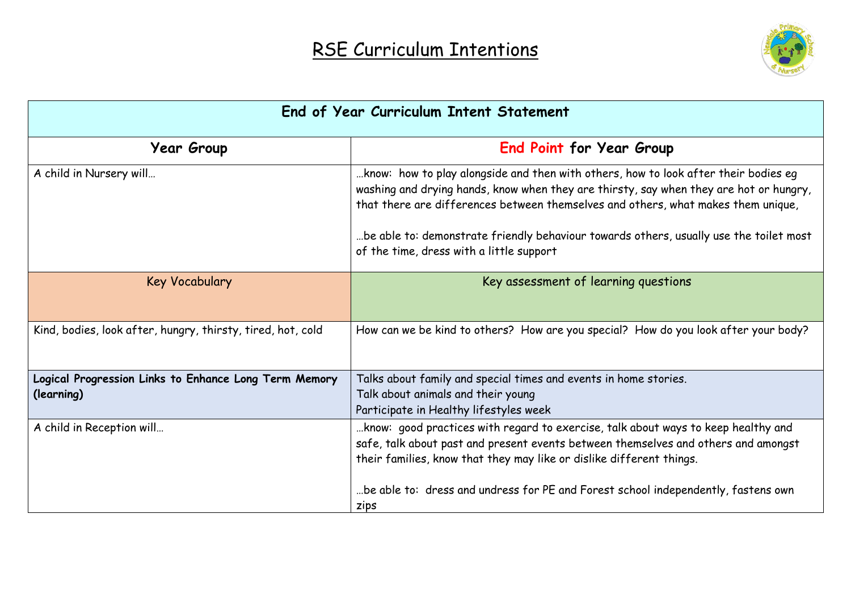

| End of Year Curriculum Intent Statement                             |                                                                                                                                                                                                                                                                          |  |
|---------------------------------------------------------------------|--------------------------------------------------------------------------------------------------------------------------------------------------------------------------------------------------------------------------------------------------------------------------|--|
| <b>Year Group</b>                                                   | <b>End Point for Year Group</b>                                                                                                                                                                                                                                          |  |
| A child in Nursery will                                             | harpor who wiper theory alongside and then with others, how to look after their bodies eq<br>washing and drying hands, know when they are thirsty, say when they are hot or hungry,<br>that there are differences between themselves and others, what makes them unique, |  |
|                                                                     | be able to: demonstrate friendly behaviour towards others, usually use the toilet most<br>of the time, dress with a little support                                                                                                                                       |  |
| Key Vocabulary                                                      | Key assessment of learning questions                                                                                                                                                                                                                                     |  |
| Kind, bodies, look after, hungry, thirsty, tired, hot, cold         | How can we be kind to others? How are you special? How do you look after your body?                                                                                                                                                                                      |  |
| Logical Progression Links to Enhance Long Term Memory<br>(learning) | Talks about family and special times and events in home stories.<br>Talk about animals and their young<br>Participate in Healthy lifestyles week                                                                                                                         |  |
| A child in Reception will                                           | know: good practices with regard to exercise, talk about ways to keep healthy and<br>safe, talk about past and present events between themselves and others and amongst<br>their families, know that they may like or dislike different things.                          |  |
|                                                                     | be able to: dress and undress for PE and Forest school independently, fastens own<br>zips                                                                                                                                                                                |  |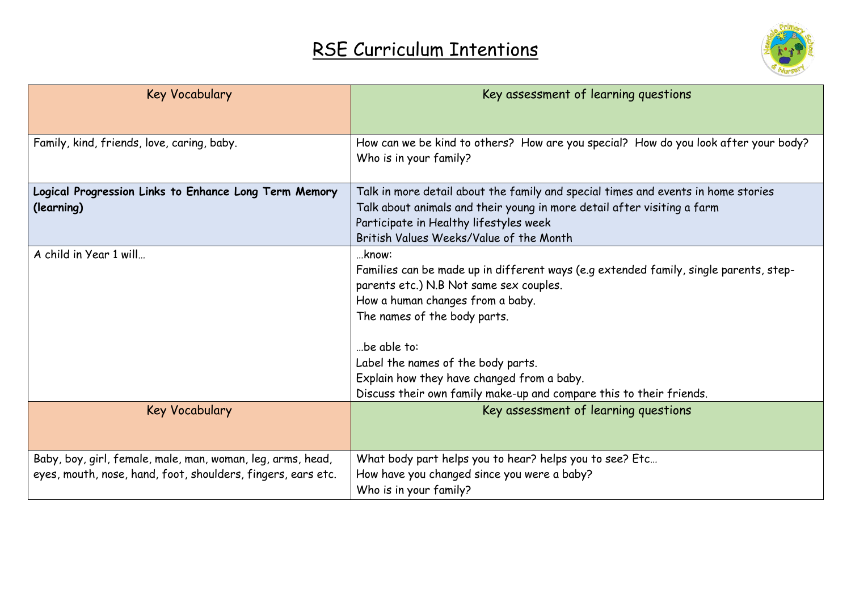

| <b>Key Vocabulary</b>                                        | Key assessment of learning questions                                                  |
|--------------------------------------------------------------|---------------------------------------------------------------------------------------|
|                                                              |                                                                                       |
| Family, kind, friends, love, caring, baby.                   | How can we be kind to others? How are you special? How do you look after your body?   |
|                                                              | Who is in your family?                                                                |
| Logical Progression Links to Enhance Long Term Memory        | Talk in more detail about the family and special times and events in home stories     |
| (learning)                                                   | Talk about animals and their young in more detail after visiting a farm               |
|                                                              | Participate in Healthy lifestyles week                                                |
|                                                              | British Values Weeks/Value of the Month                                               |
| A child in Year 1 will                                       | know:                                                                                 |
|                                                              | Families can be made up in different ways (e.g extended family, single parents, step- |
|                                                              | parents etc.) N.B Not same sex couples.                                               |
|                                                              | How a human changes from a baby.                                                      |
|                                                              | The names of the body parts.                                                          |
|                                                              | be able to:                                                                           |
|                                                              | Label the names of the body parts.                                                    |
|                                                              | Explain how they have changed from a baby.                                            |
|                                                              | Discuss their own family make-up and compare this to their friends.                   |
| <b>Key Vocabulary</b>                                        | Key assessment of learning questions                                                  |
|                                                              |                                                                                       |
|                                                              |                                                                                       |
| Baby, boy, girl, female, male, man, woman, leg, arms, head,  | What body part helps you to hear? helps you to see? Etc                               |
| eyes, mouth, nose, hand, foot, shoulders, fingers, ears etc. | How have you changed since you were a baby?                                           |
|                                                              | Who is in your family?                                                                |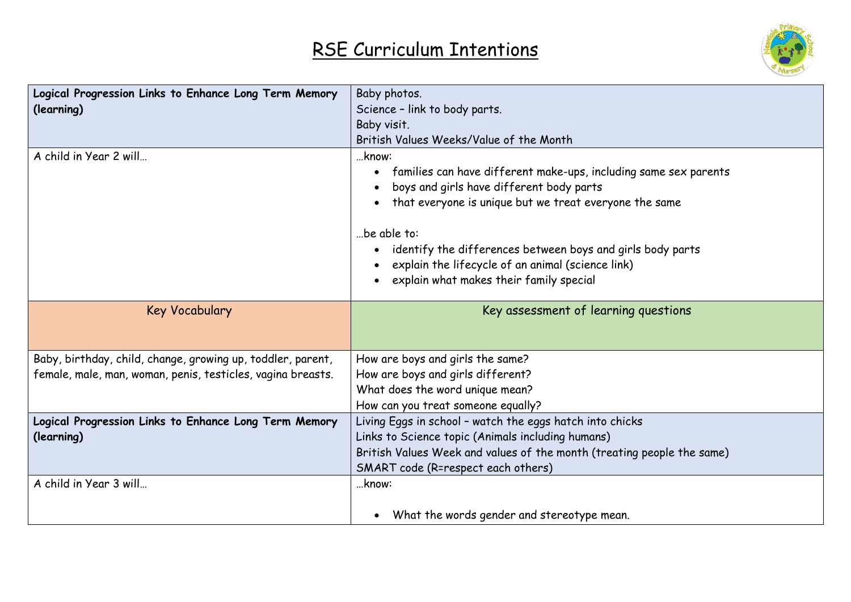

| Logical Progression Links to Enhance Long Term Memory<br>(learning) | Baby photos.<br>Science - link to body parts.                                                                                                                                                                                                                                                                                                                                          |
|---------------------------------------------------------------------|----------------------------------------------------------------------------------------------------------------------------------------------------------------------------------------------------------------------------------------------------------------------------------------------------------------------------------------------------------------------------------------|
|                                                                     | Baby visit.                                                                                                                                                                                                                                                                                                                                                                            |
|                                                                     | British Values Weeks/Value of the Month                                                                                                                                                                                                                                                                                                                                                |
| A child in Year 2 will                                              | know:<br>families can have different make-ups, including same sex parents<br>$\bullet$<br>boys and girls have different body parts<br>that everyone is unique but we treat everyone the same<br>be able to:<br>identify the differences between boys and girls body parts<br>$\bullet$<br>explain the lifecycle of an animal (science link)<br>explain what makes their family special |
| <b>Key Vocabulary</b>                                               | Key assessment of learning questions                                                                                                                                                                                                                                                                                                                                                   |
| Baby, birthday, child, change, growing up, toddler, parent,         | How are boys and girls the same?                                                                                                                                                                                                                                                                                                                                                       |
| female, male, man, woman, penis, testicles, vagina breasts.         | How are boys and girls different?                                                                                                                                                                                                                                                                                                                                                      |
|                                                                     | What does the word unique mean?                                                                                                                                                                                                                                                                                                                                                        |
|                                                                     | How can you treat someone equally?                                                                                                                                                                                                                                                                                                                                                     |
| Logical Progression Links to Enhance Long Term Memory               | Living Eggs in school - watch the eggs hatch into chicks                                                                                                                                                                                                                                                                                                                               |
| (learning)                                                          | Links to Science topic (Animals including humans)                                                                                                                                                                                                                                                                                                                                      |
|                                                                     | British Values Week and values of the month (treating people the same)                                                                                                                                                                                                                                                                                                                 |
|                                                                     | SMART code (R=respect each others)                                                                                                                                                                                                                                                                                                                                                     |
| A child in Year 3 will                                              | know:                                                                                                                                                                                                                                                                                                                                                                                  |
|                                                                     | What the words gender and stereotype mean.<br>$\bullet$                                                                                                                                                                                                                                                                                                                                |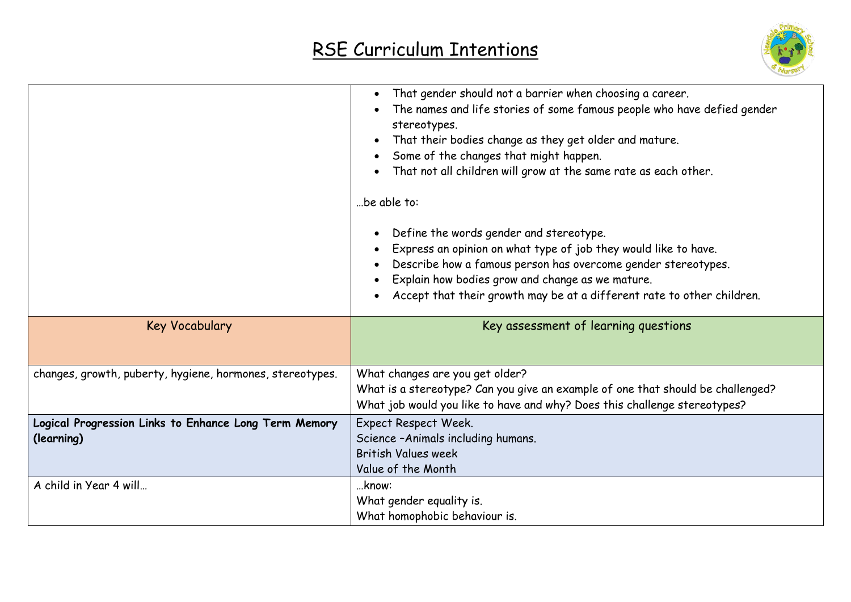

|                                                                     | That gender should not a barrier when choosing a career.<br>The names and life stories of some famous people who have defied gender<br>stereotypes.<br>That their bodies change as they get older and mature.<br>$\bullet$<br>Some of the changes that might happen.<br>That not all children will grow at the same rate as each other.<br>be able to:<br>Define the words gender and stereotype.<br>Express an opinion on what type of job they would like to have.<br>Describe how a famous person has overcome gender stereotypes.<br>Explain how bodies grow and change as we mature.<br>Accept that their growth may be at a different rate to other children. |
|---------------------------------------------------------------------|---------------------------------------------------------------------------------------------------------------------------------------------------------------------------------------------------------------------------------------------------------------------------------------------------------------------------------------------------------------------------------------------------------------------------------------------------------------------------------------------------------------------------------------------------------------------------------------------------------------------------------------------------------------------|
| Key Vocabulary                                                      | Key assessment of learning questions                                                                                                                                                                                                                                                                                                                                                                                                                                                                                                                                                                                                                                |
| changes, growth, puberty, hygiene, hormones, stereotypes.           | What changes are you get older?<br>What is a stereotype? Can you give an example of one that should be challenged?<br>What job would you like to have and why? Does this challenge stereotypes?                                                                                                                                                                                                                                                                                                                                                                                                                                                                     |
| Logical Progression Links to Enhance Long Term Memory<br>(learning) | Expect Respect Week.<br>Science - Animals including humans.<br><b>British Values week</b><br>Value of the Month                                                                                                                                                                                                                                                                                                                                                                                                                                                                                                                                                     |
| A child in Year 4 will                                              | know:<br>What gender equality is.<br>What homophobic behaviour is.                                                                                                                                                                                                                                                                                                                                                                                                                                                                                                                                                                                                  |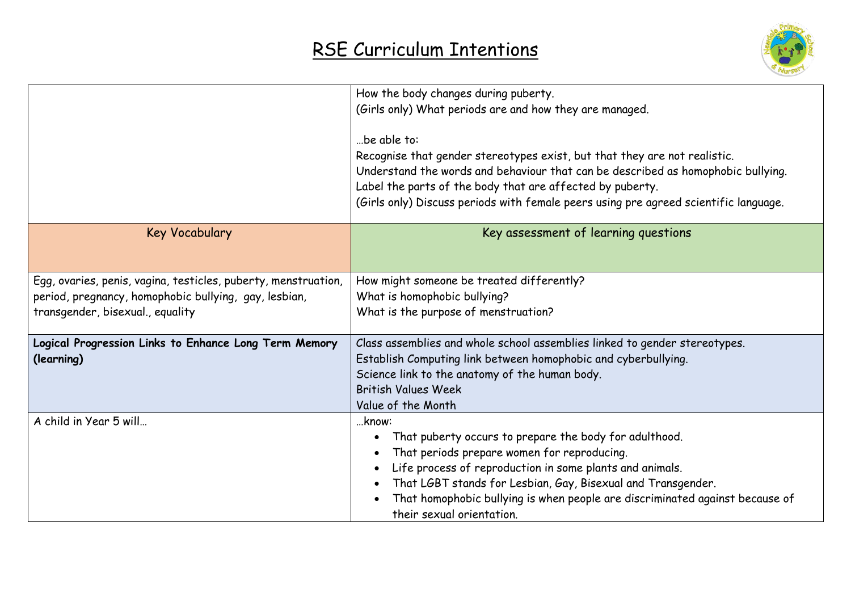

|                                                                | How the body changes during puberty.                                                 |  |
|----------------------------------------------------------------|--------------------------------------------------------------------------------------|--|
|                                                                | (Girls only) What periods are and how they are managed.                              |  |
|                                                                |                                                                                      |  |
|                                                                | be able to:                                                                          |  |
|                                                                | Recognise that gender stereotypes exist, but that they are not realistic.            |  |
|                                                                | Understand the words and behaviour that can be described as homophobic bullying.     |  |
|                                                                | Label the parts of the body that are affected by puberty.                            |  |
|                                                                | (Girls only) Discuss periods with female peers using pre agreed scientific language. |  |
| <b>Key Vocabulary</b>                                          | Key assessment of learning questions                                                 |  |
| Egg, ovaries, penis, vagina, testicles, puberty, menstruation, | How might someone be treated differently?                                            |  |
| period, pregnancy, homophobic bullying, gay, lesbian,          | What is homophobic bullying?                                                         |  |
| transgender, bisexual., equality                               | What is the purpose of menstruation?                                                 |  |
|                                                                |                                                                                      |  |
| Logical Progression Links to Enhance Long Term Memory          | Class assemblies and whole school assemblies linked to gender stereotypes.           |  |
| (learning)                                                     | Establish Computing link between homophobic and cyberbullying.                       |  |
|                                                                | Science link to the anatomy of the human body.                                       |  |
|                                                                | <b>British Values Week</b>                                                           |  |
|                                                                | Value of the Month                                                                   |  |
| A child in Year 5 will                                         | know:                                                                                |  |
|                                                                | That puberty occurs to prepare the body for adulthood.                               |  |
|                                                                | That periods prepare women for reproducing.                                          |  |
|                                                                | Life process of reproduction in some plants and animals.                             |  |
|                                                                | That LGBT stands for Lesbian, Gay, Bisexual and Transgender.                         |  |
|                                                                | That homophobic bullying is when people are discriminated against because of         |  |
|                                                                | their sexual orientation.                                                            |  |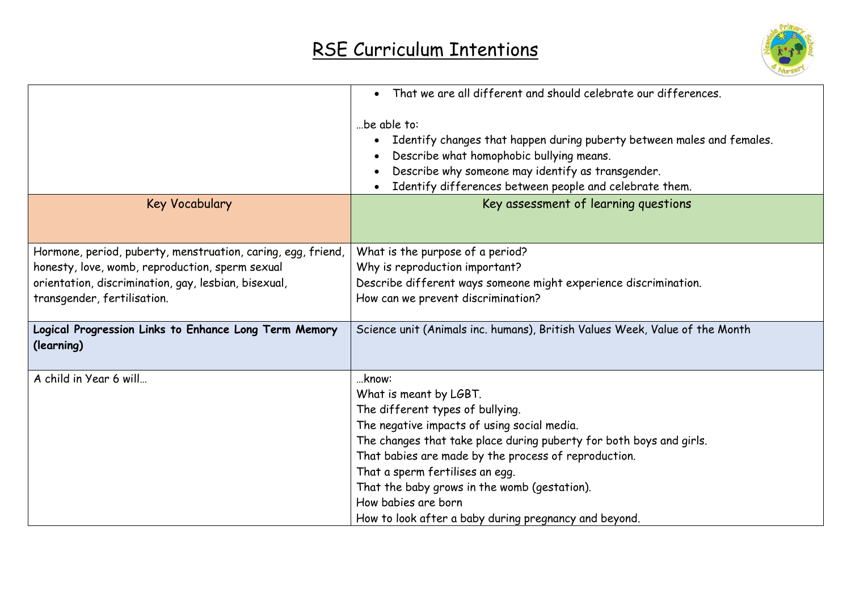

|                                                                                                                                                                                                        | • That we are all different and should celebrate our differences.                                                                                                                                                                                                                                                                                                                                                    |
|--------------------------------------------------------------------------------------------------------------------------------------------------------------------------------------------------------|----------------------------------------------------------------------------------------------------------------------------------------------------------------------------------------------------------------------------------------------------------------------------------------------------------------------------------------------------------------------------------------------------------------------|
| <b>Key Vocabulary</b>                                                                                                                                                                                  | be able to:<br>Identify changes that happen during puberty between males and females.<br>$\bullet$<br>Describe what homophobic bullying means.<br>Describe why someone may identify as transgender.<br>Identify differences between people and celebrate them.<br>Key assessment of learning questions                                                                                                               |
|                                                                                                                                                                                                        |                                                                                                                                                                                                                                                                                                                                                                                                                      |
| Hormone, period, puberty, menstruation, caring, egg, friend,<br>honesty, love, womb, reproduction, sperm sexual<br>orientation, discrimination, gay, lesbian, bisexual,<br>transgender, fertilisation. | What is the purpose of a period?<br>Why is reproduction important?<br>Describe different ways someone might experience discrimination.<br>How can we prevent discrimination?                                                                                                                                                                                                                                         |
| Logical Progression Links to Enhance Long Term Memory<br>(learning)                                                                                                                                    | Science unit (Animals inc. humans), British Values Week, Value of the Month                                                                                                                                                                                                                                                                                                                                          |
| A child in Year 6 will                                                                                                                                                                                 | know:<br>What is meant by LGBT.<br>The different types of bullying.<br>The negative impacts of using social media.<br>The changes that take place during puberty for both boys and girls.<br>That babies are made by the process of reproduction.<br>That a sperm fertilises an egg.<br>That the baby grows in the womb (gestation).<br>How babies are born<br>How to look after a baby during pregnancy and beyond. |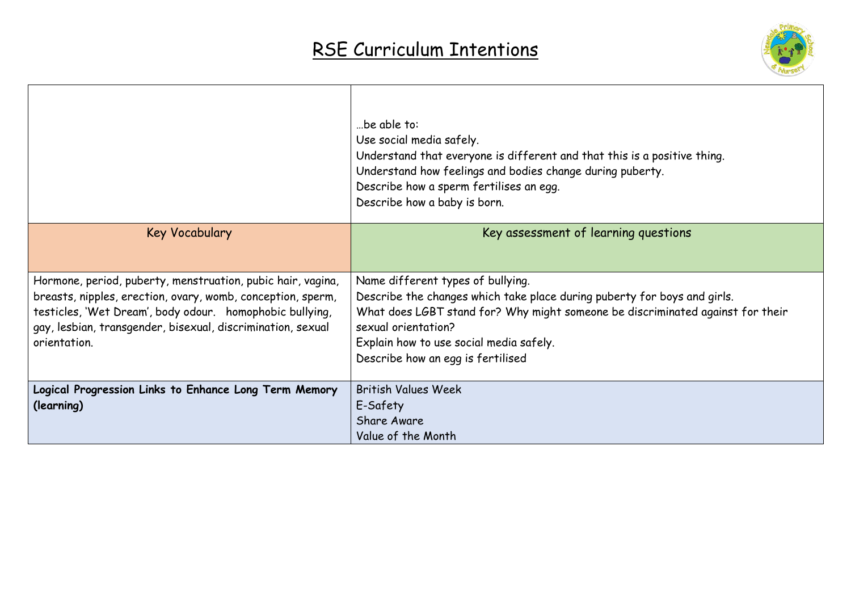

|                                                                                                                                                                                                                                                                       | be able to:<br>Use social media safely.<br>Understand that everyone is different and that this is a positive thing.<br>Understand how feelings and bodies change during puberty.<br>Describe how a sperm fertilises an egg.<br>Describe how a baby is born.                                            |
|-----------------------------------------------------------------------------------------------------------------------------------------------------------------------------------------------------------------------------------------------------------------------|--------------------------------------------------------------------------------------------------------------------------------------------------------------------------------------------------------------------------------------------------------------------------------------------------------|
| Key Vocabulary                                                                                                                                                                                                                                                        | Key assessment of learning questions                                                                                                                                                                                                                                                                   |
| Hormone, period, puberty, menstruation, pubic hair, vagina,<br>breasts, nipples, erection, ovary, womb, conception, sperm,<br>testicles, 'Wet Dream', body odour. homophobic bullying,<br>gay, lesbian, transgender, bisexual, discrimination, sexual<br>orientation. | Name different types of bullying.<br>Describe the changes which take place during puberty for boys and girls.<br>What does LGBT stand for? Why might someone be discriminated against for their<br>sexual orientation?<br>Explain how to use social media safely.<br>Describe how an egg is fertilised |
| Logical Progression Links to Enhance Long Term Memory<br>(learning)                                                                                                                                                                                                   | <b>British Values Week</b><br>E-Safety<br><b>Share Aware</b><br>Value of the Month                                                                                                                                                                                                                     |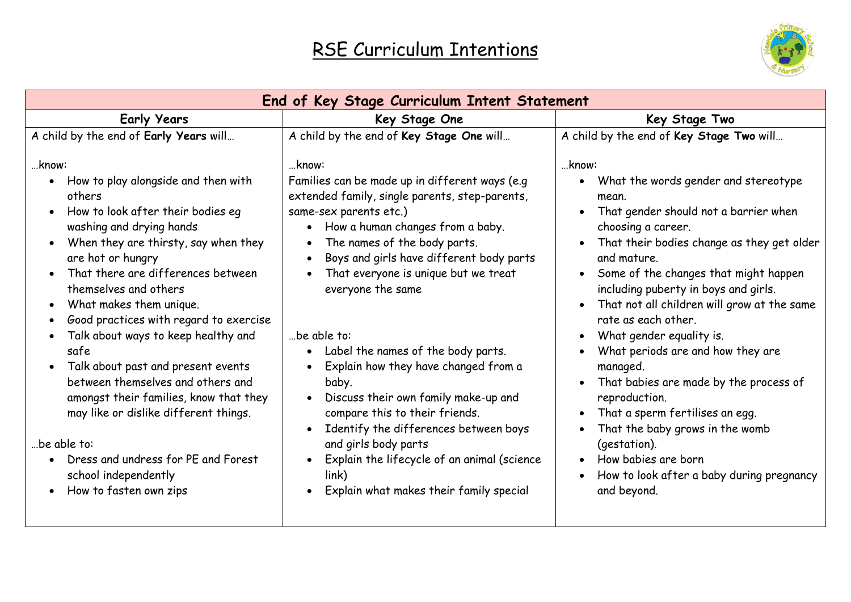

| End of Key Stage Curriculum Intent Statement                                                                                                                                                                                                                                                                                                                                                                                                                                                                                                                                                                                                                                         |                                                                                                                                                                                                                                                                                                                                                                                                                                                                                                                                                                                                                                                                                                  |                                                                                                                                                                                                                                                                                                                                                                                                                                                                                                                                                                                                                                                                                                                                                                                              |
|--------------------------------------------------------------------------------------------------------------------------------------------------------------------------------------------------------------------------------------------------------------------------------------------------------------------------------------------------------------------------------------------------------------------------------------------------------------------------------------------------------------------------------------------------------------------------------------------------------------------------------------------------------------------------------------|--------------------------------------------------------------------------------------------------------------------------------------------------------------------------------------------------------------------------------------------------------------------------------------------------------------------------------------------------------------------------------------------------------------------------------------------------------------------------------------------------------------------------------------------------------------------------------------------------------------------------------------------------------------------------------------------------|----------------------------------------------------------------------------------------------------------------------------------------------------------------------------------------------------------------------------------------------------------------------------------------------------------------------------------------------------------------------------------------------------------------------------------------------------------------------------------------------------------------------------------------------------------------------------------------------------------------------------------------------------------------------------------------------------------------------------------------------------------------------------------------------|
| <b>Early Years</b>                                                                                                                                                                                                                                                                                                                                                                                                                                                                                                                                                                                                                                                                   | Key Stage One                                                                                                                                                                                                                                                                                                                                                                                                                                                                                                                                                                                                                                                                                    | Key Stage Two                                                                                                                                                                                                                                                                                                                                                                                                                                                                                                                                                                                                                                                                                                                                                                                |
| A child by the end of Early Years will                                                                                                                                                                                                                                                                                                                                                                                                                                                                                                                                                                                                                                               | A child by the end of Key Stage One will                                                                                                                                                                                                                                                                                                                                                                                                                                                                                                                                                                                                                                                         | A child by the end of Key Stage Two will                                                                                                                                                                                                                                                                                                                                                                                                                                                                                                                                                                                                                                                                                                                                                     |
| know:<br>How to play alongside and then with<br>$\bullet$<br>others<br>How to look after their bodies eq<br>washing and drying hands<br>When they are thirsty, say when they<br>are hot or hungry<br>That there are differences between<br>themselves and others<br>What makes them unique.<br>Good practices with regard to exercise<br>Talk about ways to keep healthy and<br>safe<br>Talk about past and present events<br>$\bullet$<br>between themselves and others and<br>amongst their families, know that they<br>may like or dislike different things.<br>be able to:<br>Dress and undress for PE and Forest<br>$\bullet$<br>school independently<br>How to fasten own zips | know:<br>Families can be made up in different ways (e.g<br>extended family, single parents, step-parents,<br>same-sex parents etc.)<br>How a human changes from a baby.<br>$\bullet$<br>The names of the body parts.<br>Boys and girls have different body parts<br>That everyone is unique but we treat<br>everyone the same<br>be able to:<br>• Label the names of the body parts.<br>Explain how they have changed from a<br>baby.<br>Discuss their own family make-up and<br>$\bullet$<br>compare this to their friends.<br>Identify the differences between boys<br>and girls body parts<br>Explain the lifecycle of an animal (science<br>link)<br>Explain what makes their family special | know:<br>What the words gender and stereotype<br>$\bullet$<br>mean.<br>That gender should not a barrier when<br>$\bullet$<br>choosing a career.<br>That their bodies change as they get older<br>$\bullet$<br>and mature.<br>Some of the changes that might happen<br>$\bullet$<br>including puberty in boys and girls.<br>That not all children will grow at the same<br>rate as each other.<br>What gender equality is.<br>$\bullet$<br>What periods are and how they are<br>managed.<br>That babies are made by the process of<br>$\bullet$<br>reproduction.<br>That a sperm fertilises an egg.<br>$\bullet$<br>That the baby grows in the womb<br>$\bullet$<br>(gestation).<br>How babies are born<br>$\bullet$<br>How to look after a baby during pregnancy<br>$\bullet$<br>and beyond. |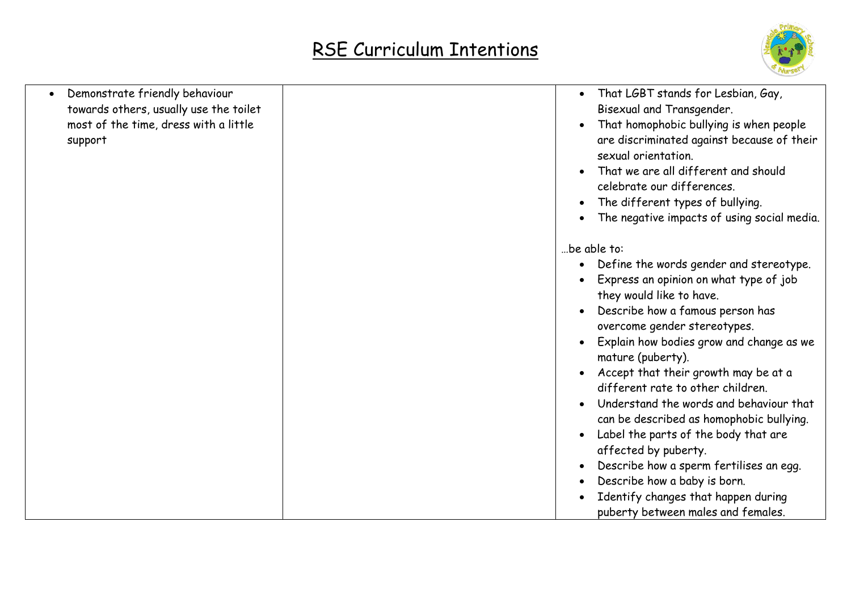

| Demonstrate friendly behaviour<br>towards others, usually use the toilet<br>most of the time, dress with a little<br>support | That LGBT stands for Lesbian, Gay,<br>Bisexual and Transgender.<br>That homophobic bullying is when people<br>are discriminated against because of their<br>sexual orientation.<br>That we are all different and should<br>celebrate our differences.<br>The different types of bullying.<br>The negative impacts of using social media.                                                                                                                                                                                                                                                                                             |
|------------------------------------------------------------------------------------------------------------------------------|--------------------------------------------------------------------------------------------------------------------------------------------------------------------------------------------------------------------------------------------------------------------------------------------------------------------------------------------------------------------------------------------------------------------------------------------------------------------------------------------------------------------------------------------------------------------------------------------------------------------------------------|
|                                                                                                                              | be able to:<br>Define the words gender and stereotype.<br>$\bullet$<br>Express an opinion on what type of job<br>they would like to have.<br>Describe how a famous person has<br>overcome gender stereotypes.<br>Explain how bodies grow and change as we<br>mature (puberty).<br>Accept that their growth may be at a<br>different rate to other children.<br>Understand the words and behaviour that<br>can be described as homophobic bullying.<br>Label the parts of the body that are<br>affected by puberty.<br>Describe how a sperm fertilises an egg.<br>Describe how a baby is born.<br>Identify changes that happen during |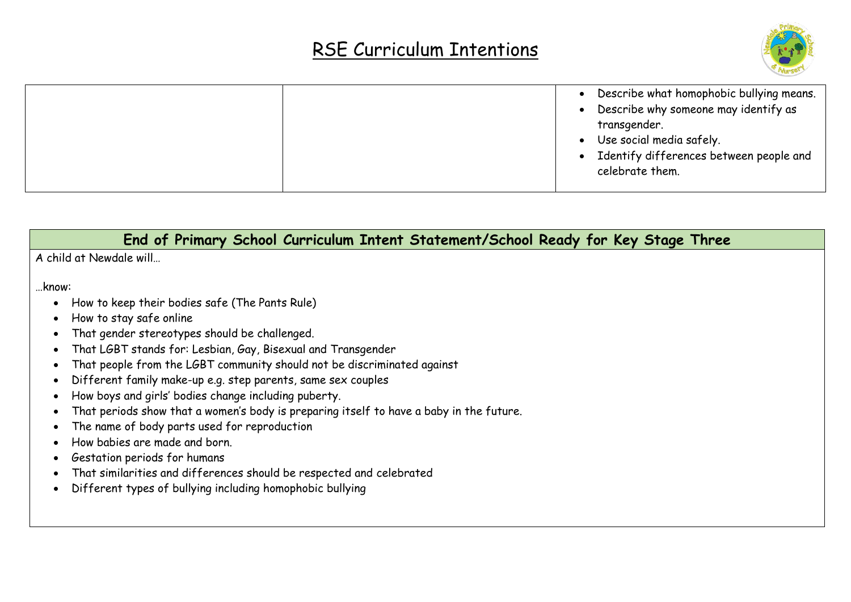

|  | Describe what homophobic bullying means.<br>$\bullet$<br>• Describe why someone may identify as<br>transgender.<br>• Use social media safely.<br>• Identify differences between people and<br>celebrate them. |
|--|---------------------------------------------------------------------------------------------------------------------------------------------------------------------------------------------------------------|
|--|---------------------------------------------------------------------------------------------------------------------------------------------------------------------------------------------------------------|

#### **End of Primary School Curriculum Intent Statement/School Ready for Key Stage Three**

A child at Newdale will…

…know:

- How to keep their bodies safe (The Pants Rule)
- How to stay safe online
- That gender stereotypes should be challenged.
- That LGBT stands for: Lesbian, Gay, Bisexual and Transgender
- That people from the LGBT community should not be discriminated against
- Different family make-up e.g. step parents, same sex couples
- How boys and girls' bodies change including puberty.
- That periods show that a women's body is preparing itself to have a baby in the future.
- The name of body parts used for reproduction
- How babies are made and born.
- Gestation periods for humans
- That similarities and differences should be respected and celebrated
- Different types of bullying including homophobic bullying